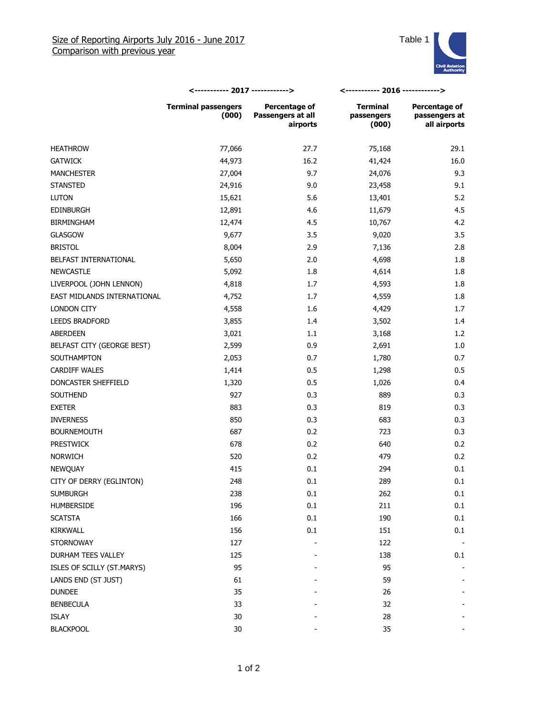

|                             | <----------- 2017 ------------>     |                                                | <----------- 2016 ------------>        |                                                |
|-----------------------------|-------------------------------------|------------------------------------------------|----------------------------------------|------------------------------------------------|
|                             | <b>Terminal passengers</b><br>(000) | Percentage of<br>Passengers at all<br>airports | <b>Terminal</b><br>passengers<br>(000) | Percentage of<br>passengers at<br>all airports |
| <b>HEATHROW</b>             | 77,066                              | 27.7                                           | 75,168                                 | 29.1                                           |
| <b>GATWICK</b>              | 44,973                              | 16.2                                           | 41,424                                 | 16.0                                           |
| <b>MANCHESTER</b>           | 27,004                              | 9.7                                            | 24,076                                 | 9.3                                            |
| <b>STANSTED</b>             | 24,916                              | 9.0                                            | 23,458                                 | 9.1                                            |
| <b>LUTON</b>                | 15,621                              | 5.6                                            | 13,401                                 | 5.2                                            |
| <b>EDINBURGH</b>            | 12,891                              | 4.6                                            | 11,679                                 | 4.5                                            |
| <b>BIRMINGHAM</b>           | 12,474                              | 4.5                                            | 10,767                                 | 4.2                                            |
| <b>GLASGOW</b>              | 9,677                               | 3.5                                            | 9,020                                  | 3.5                                            |
| <b>BRISTOL</b>              | 8,004                               | 2.9                                            | 7,136                                  | 2.8                                            |
| BELFAST INTERNATIONAL       | 5,650                               | 2.0                                            | 4,698                                  | 1.8                                            |
| <b>NEWCASTLE</b>            | 5,092                               | 1.8                                            | 4,614                                  | 1.8                                            |
| LIVERPOOL (JOHN LENNON)     | 4,818                               | 1.7                                            | 4,593                                  | 1.8                                            |
| EAST MIDLANDS INTERNATIONAL | 4,752                               | 1.7                                            | 4,559                                  | 1.8                                            |
| LONDON CITY                 | 4,558                               | 1.6                                            | 4,429                                  | 1.7                                            |
| <b>LEEDS BRADFORD</b>       | 3,855                               | 1.4                                            | 3,502                                  | 1.4                                            |
| ABERDEEN                    | 3,021                               | 1.1                                            | 3,168                                  | 1.2                                            |
| BELFAST CITY (GEORGE BEST)  | 2,599                               | 0.9                                            | 2,691                                  | 1.0                                            |
| SOUTHAMPTON                 | 2,053                               | 0.7                                            | 1,780                                  | 0.7                                            |
| <b>CARDIFF WALES</b>        | 1,414                               | 0.5                                            | 1,298                                  | 0.5                                            |
| DONCASTER SHEFFIELD         | 1,320                               | 0.5                                            | 1,026                                  | 0.4                                            |
| SOUTHEND                    | 927                                 | 0.3                                            | 889                                    | 0.3                                            |
| <b>EXETER</b>               | 883                                 | 0.3                                            | 819                                    | 0.3                                            |
| <b>INVERNESS</b>            | 850                                 | 0.3                                            | 683                                    | 0.3                                            |
| <b>BOURNEMOUTH</b>          | 687                                 | 0.2                                            | 723                                    | 0.3                                            |
| <b>PRESTWICK</b>            | 678                                 | 0.2                                            | 640                                    | 0.2                                            |
| <b>NORWICH</b>              | 520                                 | 0.2                                            | 479                                    | 0.2                                            |
| NEWQUAY                     | 415                                 | 0.1                                            | 294                                    | 0.1                                            |
| CITY OF DERRY (EGLINTON)    | 248                                 | 0.1                                            | 289                                    | 0.1                                            |
| <b>SUMBURGH</b>             | 238                                 | 0.1                                            | 262                                    | 0.1                                            |
| HUMBERSIDE                  | 196                                 | 0.1                                            | 211                                    | 0.1                                            |
| <b>SCATSTA</b>              | 166                                 | 0.1                                            | 190                                    | 0.1                                            |
| KIRKWALL                    | 156                                 | 0.1                                            | 151                                    | 0.1                                            |
| <b>STORNOWAY</b>            | 127                                 |                                                | 122                                    |                                                |
| DURHAM TEES VALLEY          | 125                                 |                                                | 138                                    | 0.1                                            |
| ISLES OF SCILLY (ST.MARYS)  | 95                                  |                                                | 95                                     |                                                |
| LANDS END (ST JUST)         | 61                                  |                                                | 59                                     |                                                |
| <b>DUNDEE</b>               | 35                                  |                                                | 26                                     |                                                |
| <b>BENBECULA</b>            | 33                                  |                                                | 32                                     |                                                |
| ISLAY                       | 30                                  |                                                | 28                                     |                                                |
| <b>BLACKPOOL</b>            | 30                                  |                                                | 35                                     |                                                |